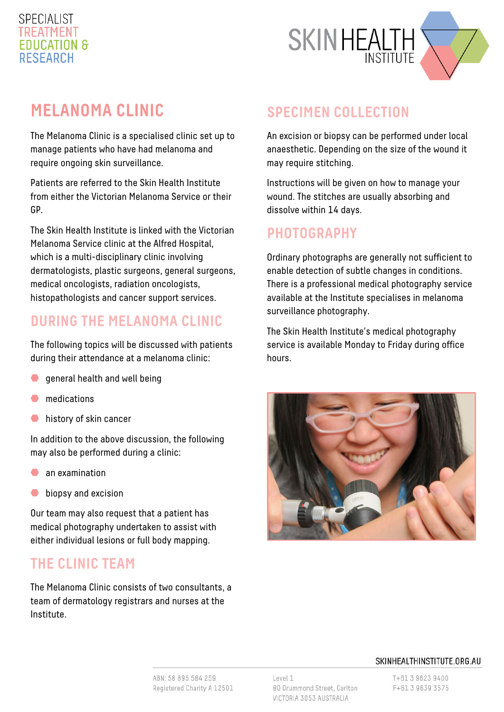### **SPECIALIST FDUCATION & RESEARCH**



# **MELANOMA CLINIC**

The Melanoma Clinic is a specialised clinic set up to manage patients who have had melanoma and require ongoing skin surveillance.

Patients are referred to the Skin Health Institute from either the Victorian Melanoma Service or their GP.

The Skin Health Institute is linked with the Victorian Melanoma Service clinic at the Alfred Hospital, which is a multi-disciplinary clinic involving dermatologists, plastic surgeons, general surgeons, medical oncologists, radiation oncologists, histopathologists and cancer support services.

#### **DURING THE MELANOMA CLINIC**

The following topics will be discussed with patients during their attendance at a melanoma clinic:

- general health and well being
- medications
- history of skin cancer  $\bullet$

In addition to the above discussion, the following may also be performed during a clinic:

- an examination
- $\bullet$ biopsy and excision

Our team may also request that a patient has medical photography undertaken to assist with either individual lesions or full body mapping.

#### **THE CLINIC TEAM**

The Melanoma Clinic consists of two consultants, a team of dermatology registrars and nurses at the Institute.

#### **SPECIMEN COLLECTION**

An excision or biopsy can be performed under local anaesthetic. Depending on the size of the wound it may require stitching.

Instructions will be given on how to manage your wound. The stitches are usually absorbing and dissolve within 14 days.

#### **PHOTOGRAPHY**

Ordinary photographs are generally not sufficient to enable detection of subtle changes in conditions. There is a professional medical photography service available at the Institute specialises in melanoma surveillance photography.

The Skin Health Institute's medical photography service is available Monday to Friday during office hours.



#### SKINHEALTHINSTITUTE.ORG.AU

ABN: 58 895 584 259 Registered Charity A 12501 Level 1 80 Drummond Street, Carlton VICTORIA 3053 AUSTRALIA

T+61 3 9623 9400 F+61 3 9639 3575